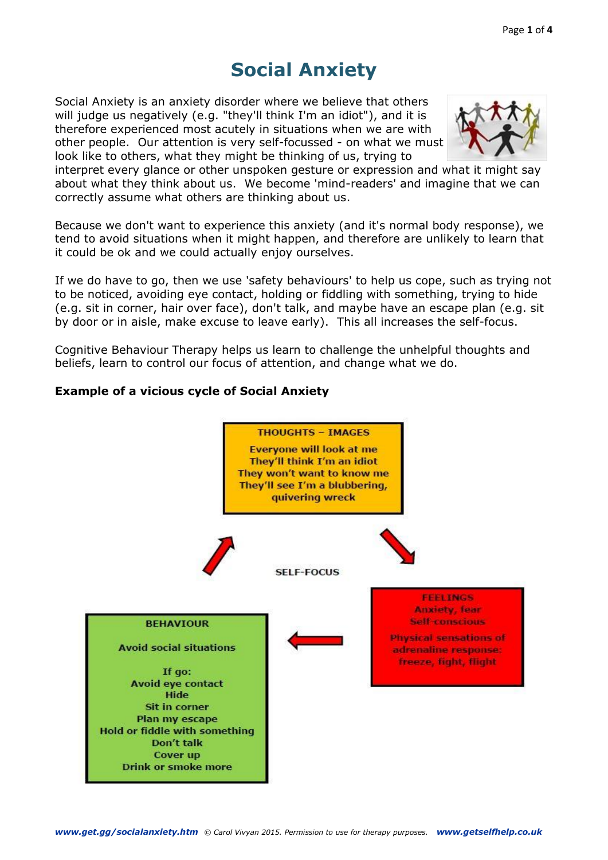# **Social Anxiety**

Social Anxiety is an anxiety disorder where we believe that others will judge us negatively (e.g. "they'll think I'm an idiot"), and it is therefore experienced most acutely in situations when we are with other people. Our attention is very self-focussed - on what we must look like to others, what they might be thinking of us, trying to



interpret every glance or other unspoken gesture or expression and what it might say about what they think about us. We become 'mind-readers' and imagine that we can correctly assume what others are thinking about us.

Because we don't want to experience this anxiety (and it's normal body response), we tend to avoid situations when it might happen, and therefore are unlikely to learn that it could be ok and we could actually enjoy ourselves.

If we do have to go, then we use 'safety behaviours' to help us cope, such as trying not to be noticed, avoiding eye contact, holding or fiddling with something, trying to hide (e.g. sit in corner, hair over face), don't talk, and maybe have an escape plan (e.g. sit by door or in aisle, make excuse to leave early). This all increases the self-focus.

Cognitive Behaviour Therapy helps us learn to challenge the unhelpful thoughts and beliefs, learn to control our focus of attention, and change what we do.

## **Example of a vicious cycle of Social Anxiety**

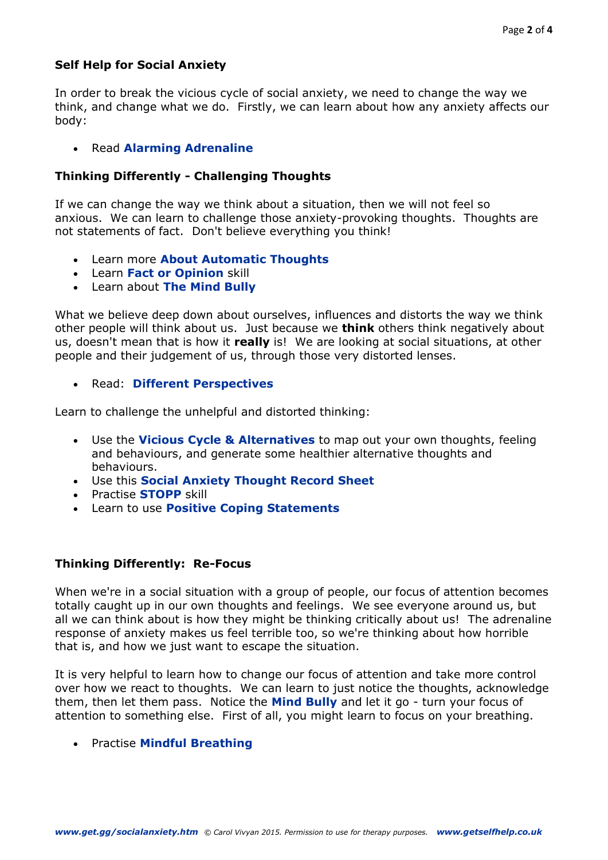# **Self Help for Social Anxiety**

In order to break the vicious cycle of social anxiety, we need to change the way we think, and change what we do. Firstly, we can learn about how any anxiety affects our body:

## Read **[Alarming Adrenaline](http://get.gg/docs/Adrenaline.pdf)**

#### **Thinking Differently - Challenging Thoughts**

If we can change the way we think about a situation, then we will not feel so anxious. We can learn to challenge those anxiety-provoking thoughts. Thoughts are not statements of fact. Don't believe everything you think!

- Learn more **[About Automatic Thoughts](http://www.getselfhelp.co.uk/docs/AutomaticThoughts.pdf)**
- Learn **[Fact or Opinion](http://www.getselfhelp.co.uk/docs/FACTorOPINION.pdf)** skill
- Learn about **[The Mind Bully](http://www.get.gg/docs/TheMindBully.pdf)**

What we believe deep down about ourselves, influences and distorts the way we think other people will think about us. Just because we **think** others think negatively about us, doesn't mean that is how it **really** is! We are looking at social situations, at other people and their judgement of us, through those very distorted lenses.

Read: **[Different Perspectives](http://www.getselfhelp.co.uk/docs/DifferentPerspectives.pdf)**

Learn to challenge the unhelpful and distorted thinking:

- Use the **[Vicious Cycle & Alternatives](http://www.getselfhelp.co.uk/docs/ViciousCycle&Alternatives.pdf)** to map out your own thoughts, feeling and behaviours, and generate some healthier alternative thoughts and behaviours.
- Use this **[Social](http://www.getselfhelp.co.uk/docs/SocialAnxietyThoughtRecordSheet.pdf) [Anxiety Thought Record Sheet](http://www.getselfhelp.co.uk/docs/SocialAnxietyThoughtRecordSheet.pdf)**
- Practise **[STOPP](http://www.getselfhelp.co.uk/docs/STOPP4.pdf)** skill
- Learn to use **[Positive Coping Statements](http://www.getselfhelp.co.uk/docs/PositiveStatements.pdf)**

#### **Thinking Differently: Re-Focus**

When we're in a social situation with a group of people, our focus of attention becomes totally caught up in our own thoughts and feelings. We see everyone around us, but all we can think about is how they might be thinking critically about us! The adrenaline response of anxiety makes us feel terrible too, so we're thinking about how horrible that is, and how we just want to escape the situation.

It is very helpful to learn how to change our focus of attention and take more control over how we react to thoughts. We can learn to just notice the thoughts, acknowledge them, then let them pass. Notice the **[Mind Bully](http://www.get.gg/docs/TheMindBully.pdf)** and let it go - turn your focus of attention to something else. First of all, you might learn to focus on your breathing.

Practise **[Mindful Breathing](http://www.getselfhelp.co.uk/docs/MindfulBreathing.pdf)**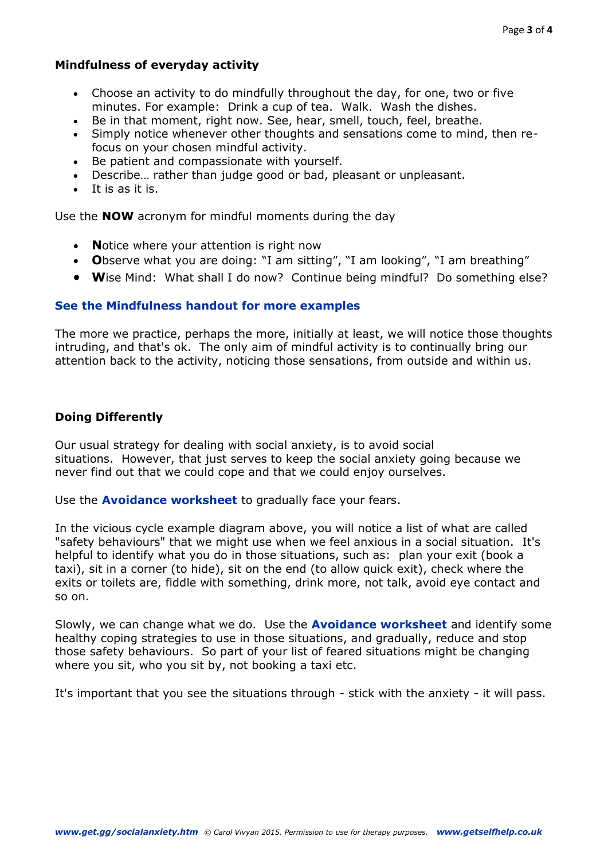#### **Mindfulness of everyday activity**

- Choose an activity to do mindfully throughout the day, for one, two or five minutes. For example: Drink a cup of tea. Walk. Wash the dishes.
- Be in that moment, right now. See, hear, smell, touch, feel, breathe.
- Simply notice whenever other thoughts and sensations come to mind, then refocus on your chosen mindful activity.
- Be patient and compassionate with yourself.
- Describe… rather than judge good or bad, pleasant or unpleasant.
- It is as it is.

Use the **NOW** acronym for mindful moments during the day

- **Notice where your attention is right now**
- **O**bserve what you are doing: "I am sitting", "I am looking", "I am breathing"
- **W**ise Mind: What shall I do now? Continue being mindful? Do something else?

#### **[See the Mindfulness handout for more examples](http://www.getselfhelp.co.uk/docs/Mindfulness.pdf)**

The more we practice, perhaps the more, initially at least, we will notice those thoughts intruding, and that's ok. The only aim of mindful activity is to continually bring our attention back to the activity, noticing those sensations, from outside and within us.

## **Doing Differently**

Our usual strategy for dealing with social anxiety, is to avoid social situations. However, that just serves to keep the social anxiety going because we never find out that we could cope and that we could enjoy ourselves.

Use the **[Avoidance worksheet](http://www.get.gg/docs/Avoidance.pdf)** to gradually face your fears.

In the vicious cycle example diagram above, you will notice a list of what are called "safety behaviours" that we might use when we feel anxious in a social situation. It's helpful to identify what you do in those situations, such as: plan your exit (book a taxi), sit in a corner (to hide), sit on the end (to allow quick exit), check where the exits or toilets are, fiddle with something, drink more, not talk, avoid eye contact and so on.

Slowly, we can change what we do. Use the **[Avoidance worksheet](http://www.get.gg/docs/Avoidance.pdf)** and identify some healthy coping strategies to use in those situations, and gradually, reduce and stop those safety behaviours. So part of your list of feared situations might be changing where you sit, who you sit by, not booking a taxi etc.

It's important that you see the situations through - stick with the anxiety - it will pass.